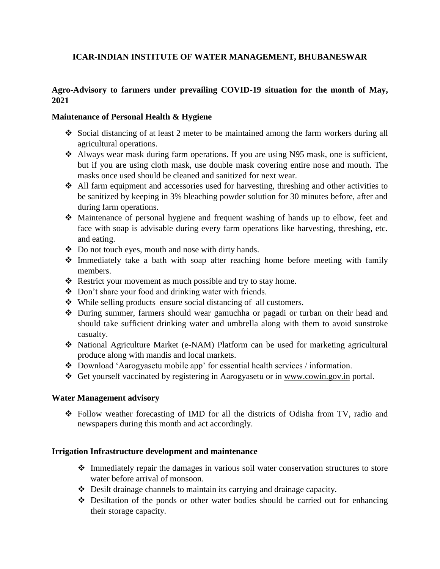# **ICAR-INDIAN INSTITUTE OF WATER MANAGEMENT, BHUBANESWAR**

# **Agro-Advisory to farmers under prevailing COVID-19 situation for the month of May, 2021**

## **Maintenance of Personal Health & Hygiene**

- Social distancing of at least 2 meter to be maintained among the farm workers during all agricultural operations.
- Always wear mask during farm operations. If you are using N95 mask, one is sufficient, but if you are using cloth mask, use double mask covering entire nose and mouth. The masks once used should be cleaned and sanitized for next wear.
- All farm equipment and accessories used for harvesting, threshing and other activities to be sanitized by keeping in 3% bleaching powder solution for 30 minutes before, after and during farm operations.
- Maintenance of personal hygiene and frequent washing of hands up to elbow, feet and face with soap is advisable during every farm operations like harvesting, threshing, etc. and eating.
- Do not touch eyes, mouth and nose with dirty hands.
- Immediately take a bath with soap after reaching home before meeting with family members.
- \* Restrict your movement as much possible and try to stay home.
- Don't share your food and drinking water with friends.
- While selling products ensure social distancing of all customers.
- During summer, farmers should wear gamuchha or pagadi or turban on their head and should take sufficient drinking water and umbrella along with them to avoid sunstroke casualty.
- National Agriculture Market (e-NAM) Platform can be used for marketing agricultural produce along with mandis and local markets.
- Download 'Aarogyasetu mobile app' for essential health services / information.
- Get yourself vaccinated by registering in Aarogyasetu or in [www.cowin.gov.in](http://www.cowin.gov.in/) portal.

# **Water Management advisory**

 Follow weather forecasting of IMD for all the districts of Odisha from TV, radio and newspapers during this month and act accordingly.

#### **Irrigation Infrastructure development and maintenance**

- Immediately repair the damages in various soil water conservation structures to store water before arrival of monsoon.
- Desilt drainage channels to maintain its carrying and drainage capacity.
- Desiltation of the ponds or other water bodies should be carried out for enhancing their storage capacity.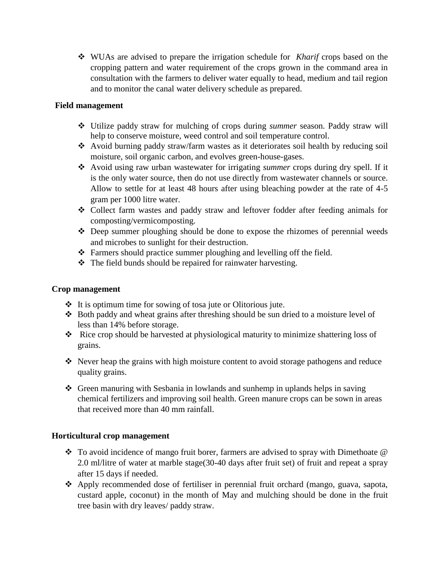WUAs are advised to prepare the irrigation schedule for *Kharif* crops based on the cropping pattern and water requirement of the crops grown in the command area in consultation with the farmers to deliver water equally to head, medium and tail region and to monitor the canal water delivery schedule as prepared.

## **Field management**

- Utilize paddy straw for mulching of crops during *summer* season. Paddy straw will help to conserve moisture, weed control and soil temperature control.
- Avoid burning paddy straw/farm wastes as it deteriorates soil health by reducing soil moisture, soil organic carbon, and evolves green-house-gases.
- Avoid using raw urban wastewater for irrigating *summer* crops during dry spell. If it is the only water source, then do not use directly from wastewater channels or source. Allow to settle for at least 48 hours after using bleaching powder at the rate of 4-5 gram per 1000 litre water.
- Collect farm wastes and paddy straw and leftover fodder after feeding animals for composting/vermicomposting.
- Deep summer ploughing should be done to expose the rhizomes of perennial weeds and microbes to sunlight for their destruction.
- Farmers should practice summer ploughing and levelling off the field.
- \* The field bunds should be repaired for rainwater harvesting.

## **Crop management**

- $\cdot \cdot$  It is optimum time for sowing of tosa jute or Olitorious jute.
- $\triangle$  Both paddy and wheat grains after threshing should be sun dried to a moisture level of less than 14% before storage.
- $\triangle$  Rice crop should be harvested at physiological maturity to minimize shattering loss of grains.
- $\cdot \cdot$  Never heap the grains with high moisture content to avoid storage pathogens and reduce quality grains.
- Green manuring with Sesbania in lowlands and sunhemp in uplands helps in saving chemical fertilizers and improving soil health. Green manure crops can be sown in areas that received more than 40 mm rainfall.

# **Horticultural crop management**

- $\cdot$  To avoid incidence of mango fruit borer, farmers are advised to spray with Dimethoate  $\circledR$ 2.0 ml/litre of water at marble stage(30-40 days after fruit set) of fruit and repeat a spray after 15 days if needed.
- Apply recommended dose of fertiliser in perennial fruit orchard (mango, guava, sapota, custard apple, coconut) in the month of May and mulching should be done in the fruit tree basin with dry leaves/ paddy straw.